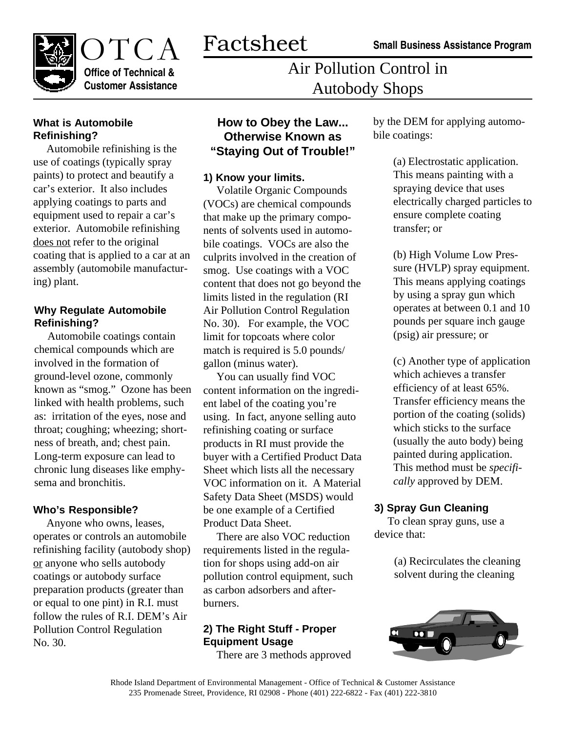**Small Business Assistance Program**



Air Pollution Control in Autobody Shops

# **What is Automobile Refinishing?**

Automobile refinishing is the use of coatings (typically spray paints) to protect and beautify a car's exterior. It also includes applying coatings to parts and equipment used to repair a car's exterior. Automobile refinishing does not refer to the original coating that is applied to a car at an assembly (automobile manufacturing) plant.

## **Why Regulate Automobile Refinishing?**

Automobile coatings contain chemical compounds which are involved in the formation of ground-level ozone, commonly known as "smog." Ozone has been linked with health problems, such as: irritation of the eyes, nose and throat; coughing; wheezing; shortness of breath, and; chest pain. Long-term exposure can lead to chronic lung diseases like emphysema and bronchitis.

#### **Who's Responsible?**

Anyone who owns, leases, operates or controls an automobile refinishing facility (autobody shop) or anyone who sells autobody coatings or autobody surface preparation products (greater than or equal to one pint) in R.I. must follow the rules of R.I. DEM's Air Pollution Control Regulation No. 30.

# **How to Obey the Law... Otherwise Known as "Staying Out of Trouble!"**

## **1) Know your limits.**

Volatile Organic Compounds (VOCs) are chemical compounds that make up the primary components of solvents used in automobile coatings. VOCs are also the culprits involved in the creation of smog. Use coatings with a VOC content that does not go beyond the limits listed in the regulation (RI Air Pollution Control Regulation No. 30). For example, the VOC limit for topcoats where color match is required is 5.0 pounds/ gallon (minus water).

You can usually find VOC content information on the ingredient label of the coating you're using. In fact, anyone selling auto refinishing coating or surface products in RI must provide the buyer with a Certified Product Data Sheet which lists all the necessary VOC information on it. A Material Safety Data Sheet (MSDS) would be one example of a Certified Product Data Sheet.

There are also VOC reduction requirements listed in the regulation for shops using add-on air pollution control equipment, such as carbon adsorbers and afterburners.

# **2) The Right Stuff - Proper Equipment Usage**

There are 3 methods approved

by the DEM for applying automobile coatings:

> (a) Electrostatic application. This means painting with a spraying device that uses electrically charged particles to ensure complete coating transfer; or

(b) High Volume Low Pressure (HVLP) spray equipment. This means applying coatings by using a spray gun which operates at between 0.1 and 10 pounds per square inch gauge (psig) air pressure; or

(c) Another type of application which achieves a transfer efficiency of at least 65%. Transfer efficiency means the portion of the coating (solids) which sticks to the surface (usually the auto body) being painted during application. This method must be *specifically* approved by DEM.

# **3) Spray Gun Cleaning**

To clean spray guns, use a device that:

> (a) Recirculates the cleaning solvent during the cleaning